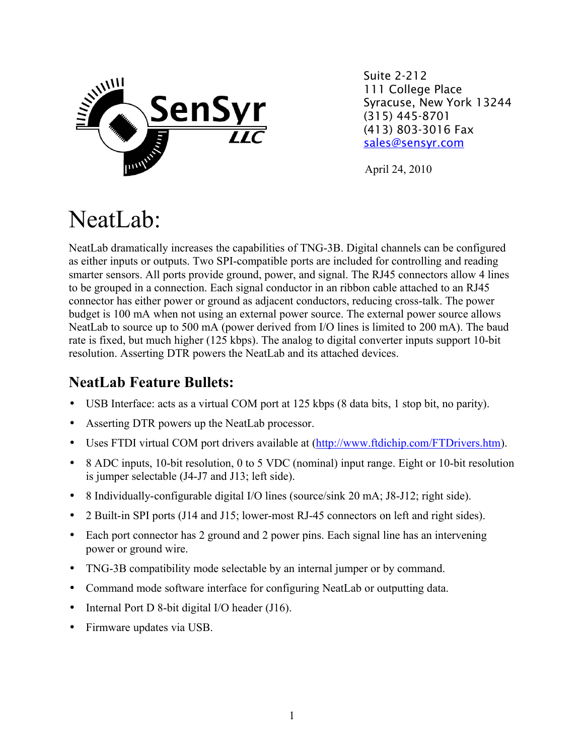

Suite 2-212 111 College Place Syracuse, New York 13244 (315) 445-8701 (413) 803-3016 Fax [sales@sensyr.com](mailto:sales@sensyr.com)

April 24, 2010

# NeatLab:

NeatLab dramatically increases the capabilities of TNG-3B. Digital channels can be configured as either inputs or outputs. Two SPI-compatible ports are included for controlling and reading smarter sensors. All ports provide ground, power, and signal. The RJ45 connectors allow 4 lines to be grouped in a connection. Each signal conductor in an ribbon cable attached to an RJ45 connector has either power or ground as adjacent conductors, reducing cross-talk. The power budget is 100 mA when not using an external power source. The external power source allows NeatLab to source up to 500 mA (power derived from I/O lines is limited to 200 mA). The baud rate is fixed, but much higher (125 kbps). The analog to digital converter inputs support 10-bit resolution. Asserting DTR powers the NeatLab and its attached devices.

### **NeatLab Feature Bullets:**

- USB Interface: acts as a virtual COM port at 125 kbps (8 data bits, 1 stop bit, no parity).
- Asserting DTR powers up the NeatLab processor.
- Uses FTDI virtual COM port drivers available at [\(http://www.ftdichip.com/FTDrivers.htm\)](http://www.ftdichip.com/FTDrivers.htm).
- 8 ADC inputs, 10-bit resolution, 0 to 5 VDC (nominal) input range. Eight or 10-bit resolution is jumper selectable (J4-J7 and J13; left side).
- 8 Individually-configurable digital I/O lines (source/sink 20 mA; J8-J12; right side).
- 2 Built-in SPI ports (J14 and J15; lower-most RJ-45 connectors on left and right sides).
- Each port connector has 2 ground and 2 power pins. Each signal line has an intervening power or ground wire.
- TNG-3B compatibility mode selectable by an internal jumper or by command.
- Command mode software interface for configuring NeatLab or outputting data.
- Internal Port D 8-bit digital I/O header (J16).
- Firmware updates via USB.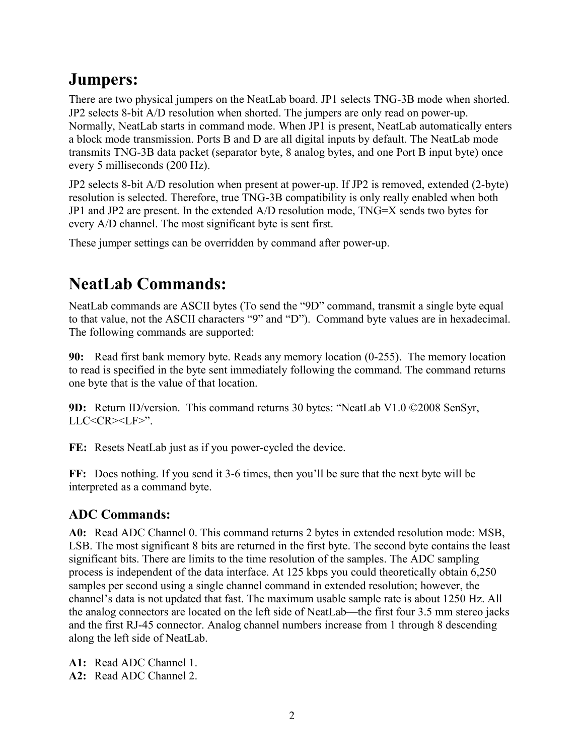## **Jumpers:**

There are two physical jumpers on the NeatLab board. JP1 selects TNG-3B mode when shorted. JP2 selects 8-bit A/D resolution when shorted. The jumpers are only read on power-up. Normally, NeatLab starts in command mode. When JP1 is present, NeatLab automatically enters a block mode transmission. Ports B and D are all digital inputs by default. The NeatLab mode transmits TNG-3B data packet (separator byte, 8 analog bytes, and one Port B input byte) once every 5 milliseconds (200 Hz).

JP2 selects 8-bit A/D resolution when present at power-up. If JP2 is removed, extended (2-byte) resolution is selected. Therefore, true TNG-3B compatibility is only really enabled when both JP1 and JP2 are present. In the extended A/D resolution mode, TNG=X sends two bytes for every A/D channel. The most significant byte is sent first.

These jumper settings can be overridden by command after power-up.

## **NeatLab Commands:**

NeatLab commands are ASCII bytes (To send the "9D" command, transmit a single byte equal to that value, not the ASCII characters "9" and "D"). Command byte values are in hexadecimal. The following commands are supported:

**90:** Read first bank memory byte. Reads any memory location (0-255). The memory location to read is specified in the byte sent immediately following the command. The command returns one byte that is the value of that location.

**9D:** Return ID/version. This command returns 30 bytes: "NeatLab V1.0 ©2008 SenSyr, LLC<CR><LF>".

**FE:** Resets NeatLab just as if you power-cycled the device.

**FF:** Does nothing. If you send it 3-6 times, then you'll be sure that the next byte will be interpreted as a command byte.

#### **ADC Commands:**

**A0:** Read ADC Channel 0. This command returns 2 bytes in extended resolution mode: MSB, LSB. The most significant 8 bits are returned in the first byte. The second byte contains the least significant bits. There are limits to the time resolution of the samples. The ADC sampling process is independent of the data interface. At 125 kbps you could theoretically obtain 6,250 samples per second using a single channel command in extended resolution; however, the channel's data is not updated that fast. The maximum usable sample rate is about 1250 Hz. All the analog connectors are located on the left side of NeatLab—the first four 3.5 mm stereo jacks and the first RJ-45 connector. Analog channel numbers increase from 1 through 8 descending along the left side of NeatLab.

**A1:** Read ADC Channel 1.

**A2:** Read ADC Channel 2.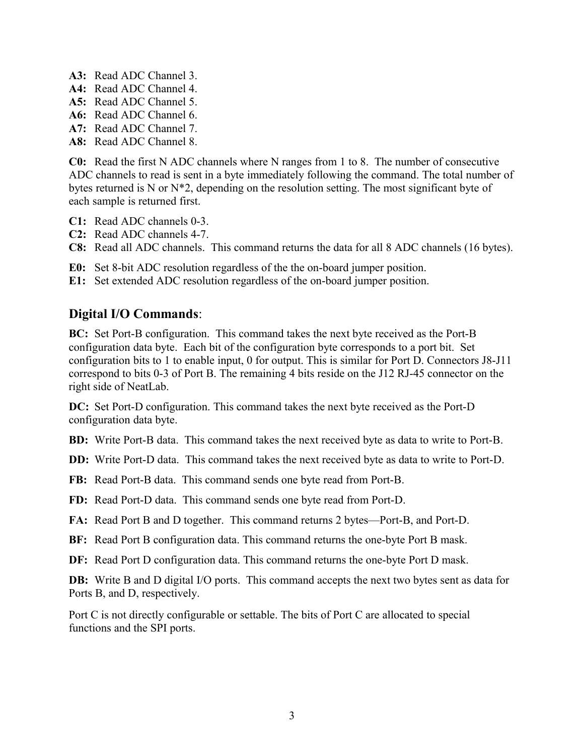- **A3:** Read ADC Channel 3.
- **A4:** Read ADC Channel 4.
- **A5:** Read ADC Channel 5.
- **A6:** Read ADC Channel 6.
- **A7:** Read ADC Channel 7.
- **A8:** Read ADC Channel 8.

**C0:** Read the first N ADC channels where N ranges from 1 to 8. The number of consecutive ADC channels to read is sent in a byte immediately following the command. The total number of bytes returned is N or N\*2, depending on the resolution setting. The most significant byte of each sample is returned first.

- **C1:** Read ADC channels 0-3.
- **C2:** Read ADC channels 4-7.
- **C8:** Read all ADC channels. This command returns the data for all 8 ADC channels (16 bytes).
- **E0:** Set 8-bit ADC resolution regardless of the the on-board jumper position.
- **E1:** Set extended ADC resolution regardless of the on-board jumper position.

#### **Digital I/O Commands**:

**BC:** Set Port-B configuration. This command takes the next byte received as the Port-B configuration data byte. Each bit of the configuration byte corresponds to a port bit. Set configuration bits to 1 to enable input, 0 for output. This is similar for Port D. Connectors J8-J11 correspond to bits 0-3 of Port B. The remaining 4 bits reside on the J12 RJ-45 connector on the right side of NeatLab.

**DC:** Set Port-D configuration. This command takes the next byte received as the Port-D configuration data byte.

**BD:** Write Port-B data. This command takes the next received byte as data to write to Port-B.

**DD:** Write Port-D data. This command takes the next received byte as data to write to Port-D.

**FB:** Read Port-B data. This command sends one byte read from Port-B.

**FD:** Read Port-D data. This command sends one byte read from Port-D.

**FA:** Read Port B and D together. This command returns 2 bytes—Port-B, and Port-D.

- **BF:** Read Port B configuration data. This command returns the one-byte Port B mask.
- **DF:** Read Port D configuration data. This command returns the one-byte Port D mask.

**DB:** Write B and D digital I/O ports. This command accepts the next two bytes sent as data for Ports B, and D, respectively.

Port C is not directly configurable or settable. The bits of Port C are allocated to special functions and the SPI ports.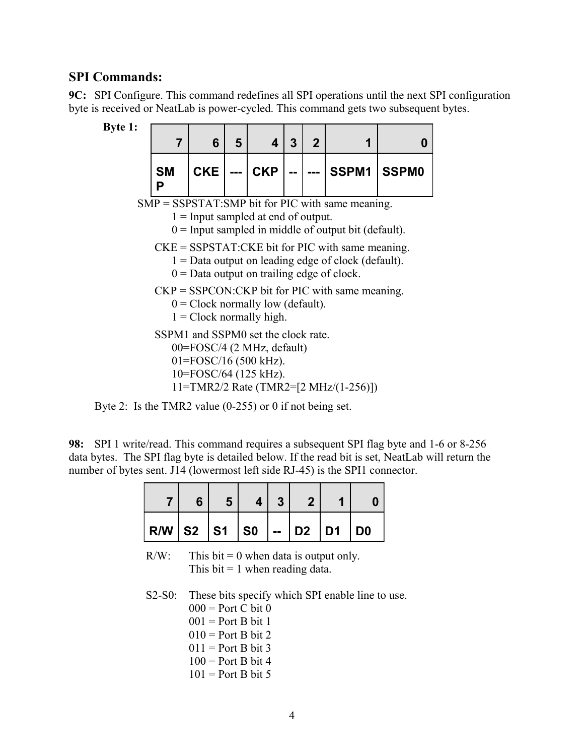#### **SPI Commands:**

**9C:** SPI Configure. This command redefines all SPI operations until the next SPI configuration byte is received or NeatLab is power-cycled. This command gets two subsequent bytes.



| е т.                                                                                                                        |                                                                                                                                                               |            |   |            |   |             |                                       |              |  |  |  |
|-----------------------------------------------------------------------------------------------------------------------------|---------------------------------------------------------------------------------------------------------------------------------------------------------------|------------|---|------------|---|-------------|---------------------------------------|--------------|--|--|--|
|                                                                                                                             | $\overline{7}$                                                                                                                                                | 6          | 5 | 4          | 3 | $\mathbf 2$ | 1                                     | 0            |  |  |  |
|                                                                                                                             | <b>SM</b><br>Р                                                                                                                                                | <b>CKE</b> |   | <b>CKP</b> |   |             | SSPM1                                 | <b>SSPM0</b> |  |  |  |
|                                                                                                                             | $SMP = SSPSTAT: SMP$ bit for PIC with same meaning.<br>$1 =$ Input sampled at end of output.<br>$0 =$ Input sampled in middle of output bit (default).        |            |   |            |   |             |                                       |              |  |  |  |
|                                                                                                                             | $CKE = SSPSTAT$ : CKE bit for PIC with same meaning.<br>$1 =$ Data output on leading edge of clock (default).<br>$0 =$ Data output on trailing edge of clock. |            |   |            |   |             |                                       |              |  |  |  |
|                                                                                                                             | $CKP = SSPCON:CKP$ bit for PIC with same meaning.<br>$0 =$ Clock normally low (default).<br>$1 =$ Clock normally high.                                        |            |   |            |   |             |                                       |              |  |  |  |
| SSPM1 and SSPM0 set the clock rate.<br>$00 = FOSC/4$ (2 MHz, default)<br>$01 = FOSC/16$ (500 kHz).<br>10=FOSC/64 (125 kHz). |                                                                                                                                                               |            |   |            |   |             |                                       |              |  |  |  |
|                                                                                                                             |                                                                                                                                                               |            |   |            |   |             | 11=TMR2/2 Rate (TMR2=[2 MHz/(1-256)]) |              |  |  |  |



**98:** SPI 1 write/read. This command requires a subsequent SPI flag byte and 1-6 or 8-256 data bytes. The SPI flag byte is detailed below. If the read bit is set, NeatLab will return the number of bytes sent. J14 (lowermost left side RJ-45) is the SPI1 connector.

| $R/W$ S2 S1 S0 - D2 D1 D0 |  |  |  |  |
|---------------------------|--|--|--|--|

 $R/W$ : This bit = 0 when data is output only. This bit  $= 1$  when reading data.

S2-S0: These bits specify which SPI enable line to use.  $000 =$  Port C bit 0 = Port B bit 1 = Port B bit 2 = Port B bit 3 = Port B bit 4 = Port B bit 5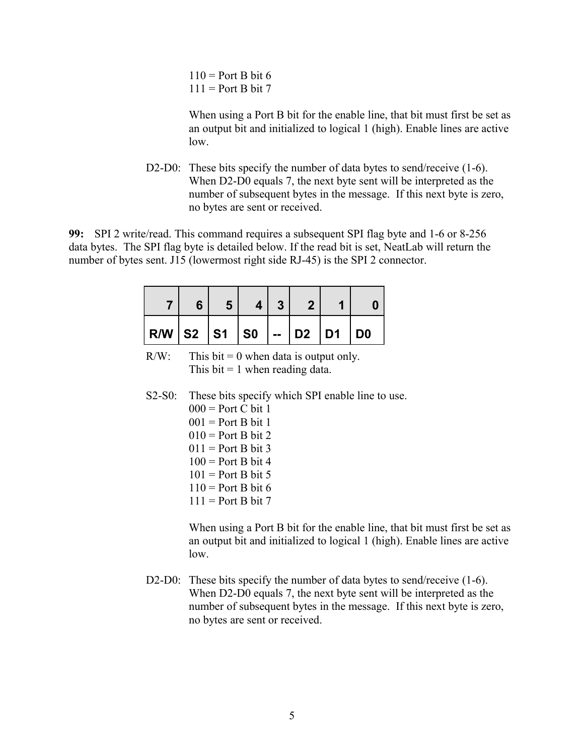$110$  = Port B bit 6  $111 =$  Port B bit 7

When using a Port B bit for the enable line, that bit must first be set as an output bit and initialized to logical 1 (high). Enable lines are active low.

D2-D0: These bits specify the number of data bytes to send/receive (1-6). When D2-D0 equals 7, the next byte sent will be interpreted as the number of subsequent bytes in the message. If this next byte is zero, no bytes are sent or received.

**99:** SPI 2 write/read. This command requires a subsequent SPI flag byte and 1-6 or 8-256 data bytes. The SPI flag byte is detailed below. If the read bit is set, NeatLab will return the number of bytes sent. J15 (lowermost right side RJ-45) is the SPI 2 connector.

| $R/W$ S2 S1 S0 - D2 D1 D0 |  |  |  |  |
|---------------------------|--|--|--|--|

 $R/W$ : This bit = 0 when data is output only. This  $bit = 1$  when reading data.

S2-S0: These bits specify which SPI enable line to use.  $000 =$  Port C bit 1  $001$  = Port B bit 1

> $010$  = Port B bit 2  $011$  = Port B bit 3  $100 =$  Port B bit 4  $101$  = Port B bit 5  $110 =$  Port B bit 6  $111 =$  Port B bit 7

When using a Port B bit for the enable line, that bit must first be set as an output bit and initialized to logical 1 (high). Enable lines are active low.

D2-D0: These bits specify the number of data bytes to send/receive (1-6). When D2-D0 equals 7, the next byte sent will be interpreted as the number of subsequent bytes in the message. If this next byte is zero, no bytes are sent or received.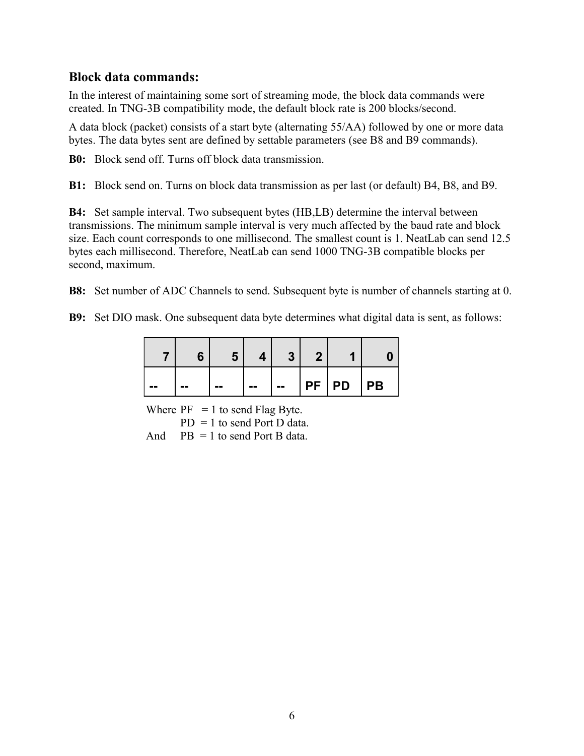#### **Block data commands:**

In the interest of maintaining some sort of streaming mode, the block data commands were created. In TNG-3B compatibility mode, the default block rate is 200 blocks/second.

A data block (packet) consists of a start byte (alternating 55/AA) followed by one or more data bytes. The data bytes sent are defined by settable parameters (see B8 and B9 commands).

**B0:** Block send off. Turns off block data transmission.

**B1:** Block send on. Turns on block data transmission as per last (or default) B4, B8, and B9.

**B4:** Set sample interval. Two subsequent bytes (HB,LB) determine the interval between transmissions. The minimum sample interval is very much affected by the baud rate and block size. Each count corresponds to one millisecond. The smallest count is 1. NeatLab can send 12.5 bytes each millisecond. Therefore, NeatLab can send 1000 TNG-3B compatible blocks per second, maximum.

**B8:** Set number of ADC Channels to send. Subsequent byte is number of channels starting at 0.

**B9:** Set DIO mask. One subsequent data byte determines what digital data is sent, as follows:

| -- | -- | -- | -- | -- | PF PD PB |  |
|----|----|----|----|----|----------|--|

Where  $PF = 1$  to send Flag Byte.  $PD = 1$  to send Port D data. And  $PB = 1$  to send Port B data.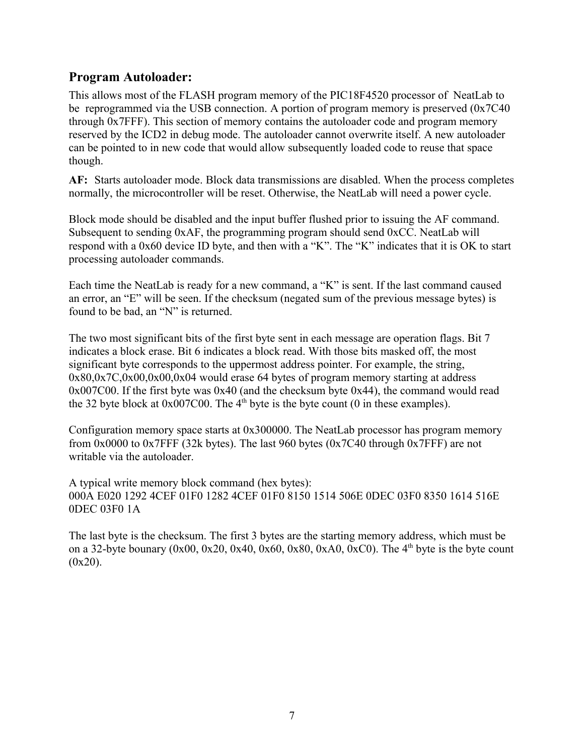#### **Program Autoloader:**

This allows most of the FLASH program memory of the PIC18F4520 processor of NeatLab to be reprogrammed via the USB connection. A portion of program memory is preserved (0x7C40 through 0x7FFF). This section of memory contains the autoloader code and program memory reserved by the ICD2 in debug mode. The autoloader cannot overwrite itself. A new autoloader can be pointed to in new code that would allow subsequently loaded code to reuse that space though.

**AF:** Starts autoloader mode. Block data transmissions are disabled. When the process completes normally, the microcontroller will be reset. Otherwise, the NeatLab will need a power cycle.

Block mode should be disabled and the input buffer flushed prior to issuing the AF command. Subsequent to sending 0xAF, the programming program should send 0xCC. NeatLab will respond with a 0x60 device ID byte, and then with a "K". The "K" indicates that it is OK to start processing autoloader commands.

Each time the NeatLab is ready for a new command, a "K" is sent. If the last command caused an error, an "E" will be seen. If the checksum (negated sum of the previous message bytes) is found to be bad, an "N" is returned.

The two most significant bits of the first byte sent in each message are operation flags. Bit 7 indicates a block erase. Bit 6 indicates a block read. With those bits masked off, the most significant byte corresponds to the uppermost address pointer. For example, the string, 0x80,0x7C,0x00,0x00,0x04 would erase 64 bytes of program memory starting at address 0x007C00. If the first byte was 0x40 (and the checksum byte 0x44), the command would read the 32 byte block at  $0x007C00$ . The  $4<sup>th</sup>$  byte is the byte count (0 in these examples).

Configuration memory space starts at 0x300000. The NeatLab processor has program memory from 0x0000 to 0x7FFF (32k bytes). The last 960 bytes (0x7C40 through 0x7FFF) are not writable via the autoloader.

A typical write memory block command (hex bytes): 000A E020 1292 4CEF 01F0 1282 4CEF 01F0 8150 1514 506E 0DEC 03F0 8350 1614 516E 0DEC 03F0 1A

The last byte is the checksum. The first 3 bytes are the starting memory address, which must be on a 32-byte bounary  $(0x00, 0x20, 0x40, 0x60, 0x80, 0xA0, 0xC0)$ . The 4<sup>th</sup> byte is the byte count  $(0x20)$ .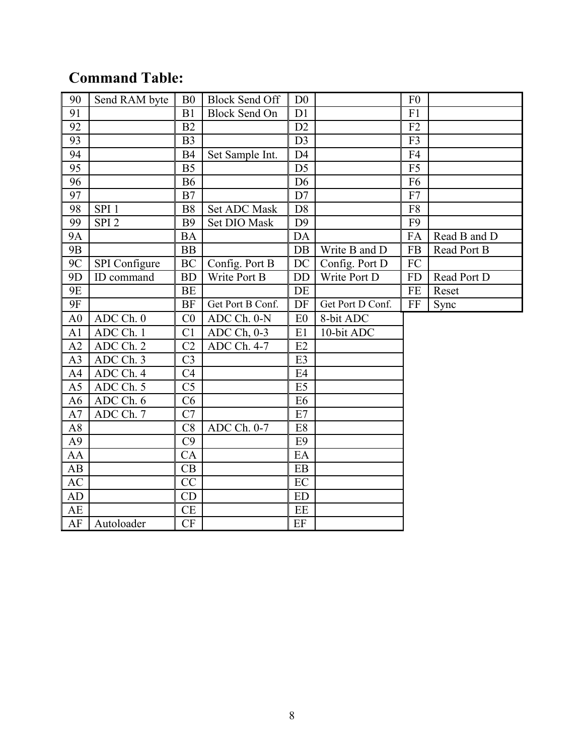## **Command Table:**

| 90             | Send RAM byte    | B <sub>0</sub> | <b>Block Send Off</b> | D <sub>0</sub> |                  | F <sub>0</sub> |              |
|----------------|------------------|----------------|-----------------------|----------------|------------------|----------------|--------------|
| 91             |                  | B1             | <b>Block Send On</b>  | D1             |                  | F1             |              |
| 92             |                  | B2             |                       | D2             |                  | F2             |              |
| 93             |                  | B <sub>3</sub> |                       | D <sub>3</sub> |                  | F3             |              |
| 94             |                  | <b>B4</b>      | Set Sample Int.       | D <sub>4</sub> |                  | F <sub>4</sub> |              |
| 95             |                  | B <sub>5</sub> |                       | D <sub>5</sub> |                  | F <sub>5</sub> |              |
| 96             |                  | <b>B6</b>      |                       | D <sub>6</sub> |                  | F <sub>6</sub> |              |
| 97             |                  | B7             |                       | D7             |                  | F7             |              |
| 98             | SPI <sub>1</sub> | <b>B8</b>      | Set ADC Mask          | D <sub>8</sub> |                  | F <sub>8</sub> |              |
| 99             | SPI <sub>2</sub> | <b>B9</b>      | Set DIO Mask          | D <sub>9</sub> |                  | F <sub>9</sub> |              |
| <b>9A</b>      |                  | <b>BA</b>      |                       | DA             |                  | FA             | Read B and D |
| <b>9B</b>      |                  | <b>BB</b>      |                       | DB             | Write B and D    | FB             | Read Port B  |
| 9C             | SPI Configure    | <b>BC</b>      | Config. Port B        | <b>DC</b>      | Config. Port D   | FC             |              |
| 9 <sub>D</sub> | ID command       | <b>BD</b>      | Write Port B          | <b>DD</b>      | Write Port D     | <b>FD</b>      | Read Port D  |
| <b>9E</b>      |                  | <b>BE</b>      |                       | DE             |                  | <b>FE</b>      | Reset        |
| <b>9F</b>      |                  | <b>BF</b>      | Get Port B Conf.      | DF             | Get Port D Conf. | FF             | Sync         |
| A <sub>0</sub> | ADC Ch. 0        | CO             | ADC Ch. 0-N           | E <sub>0</sub> | 8-bit ADC        |                |              |
| A1             | ADC Ch. 1        | C <sub>1</sub> | $ADC Ch, 0-3$         | E1             | 10-bit ADC       |                |              |
| A2             | ADC Ch. 2        | C <sub>2</sub> | ADC Ch. 4-7           | E2             |                  |                |              |
| A <sub>3</sub> | ADC Ch. 3        | C <sub>3</sub> |                       | E <sub>3</sub> |                  |                |              |
| A <sub>4</sub> | ADC Ch. 4        | C <sub>4</sub> |                       | E4             |                  |                |              |
| A <sub>5</sub> | ADC Ch. 5        | C <sub>5</sub> |                       | E <sub>5</sub> |                  |                |              |
| A <sub>6</sub> | ADC Ch. 6        | C6             |                       | E <sub>6</sub> |                  |                |              |
| A7             | ADC Ch. 7        | C7             |                       | E7             |                  |                |              |
| A8             |                  | C8             | ADC Ch. 0-7           | E <sub>8</sub> |                  |                |              |
| A9             |                  | C9             |                       | E <sub>9</sub> |                  |                |              |
| AA             |                  | CA             |                       | EA             |                  |                |              |
| AB             |                  | CВ             |                       | EB             |                  |                |              |
| AC             |                  | CC             |                       | EC             |                  |                |              |
| AD             |                  | CD             |                       | <b>ED</b>      |                  |                |              |
| AE             |                  | <b>CE</b>      |                       | EE             |                  |                |              |
| AF             | Autoloader       | CF             |                       | EF             |                  |                |              |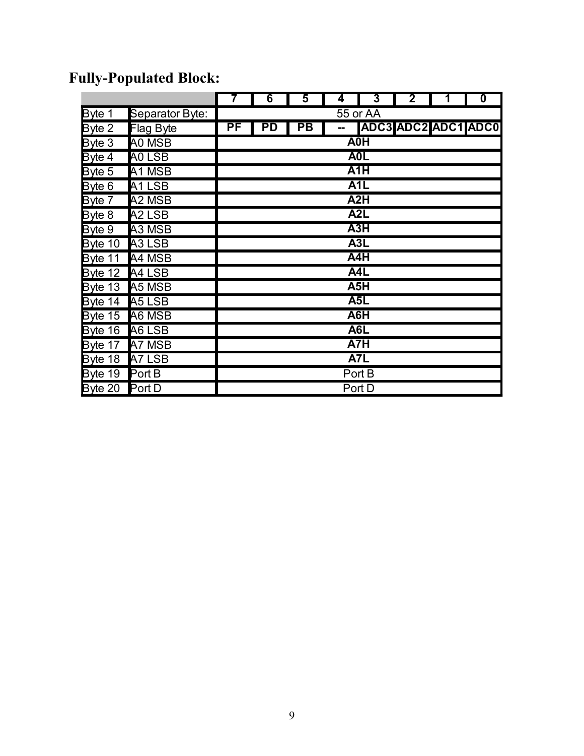|                |                                | 7                | 6  | 5         | 4 | $\overline{3}$   | $\mathbf 2$ | 1                   | $\boldsymbol{0}$ |  |  |  |
|----------------|--------------------------------|------------------|----|-----------|---|------------------|-------------|---------------------|------------------|--|--|--|
| Byte 1         | Separator Byte:                | 55 or AA         |    |           |   |                  |             |                     |                  |  |  |  |
| Byte 2         | <b>Flag Byte</b>               | PF               | PD | <b>PB</b> |   |                  |             | ADC3 ADC2 ADC1 ADC0 |                  |  |  |  |
| Byte 3         | A0 MSB                         | <b>A0H</b>       |    |           |   |                  |             |                     |                  |  |  |  |
| Byte 4         | AO LSB                         | A <sub>0</sub> L |    |           |   |                  |             |                     |                  |  |  |  |
| Byte 5         | A1 MSB                         |                  |    |           |   | A1H              |             |                     |                  |  |  |  |
| Byte 6         | A <sub>1</sub> LSB             |                  |    |           |   | A <sub>1</sub> L |             |                     |                  |  |  |  |
| Byte 7         | A <sub>2</sub> M <sub>SB</sub> |                  |    |           |   | A2H              |             |                     |                  |  |  |  |
| Byte 8         | A <sub>2</sub> LSB             | A <sub>2</sub> L |    |           |   |                  |             |                     |                  |  |  |  |
| Byte 9         | A3 MSB                         | A3H              |    |           |   |                  |             |                     |                  |  |  |  |
| Byte 10        | A <sub>3</sub> LSB             | A3L              |    |           |   |                  |             |                     |                  |  |  |  |
| Byte 11        | A4 MSB                         | A <sub>4</sub> H |    |           |   |                  |             |                     |                  |  |  |  |
| Byte 12        | A4 LSB                         | A4L              |    |           |   |                  |             |                     |                  |  |  |  |
| Byte 13 A5 MSB |                                | A5H              |    |           |   |                  |             |                     |                  |  |  |  |
| Byte 14 A5 LSB |                                |                  |    |           |   | A <sub>5</sub> L |             |                     |                  |  |  |  |
| Byte 15 A6 MSB |                                |                  |    |           |   | A6H              |             |                     |                  |  |  |  |
| Byte 16        | A6 LSB                         |                  |    |           |   | A6L              |             |                     |                  |  |  |  |
| Byte 17 A7 MSB |                                |                  |    |           |   | A7H              |             |                     |                  |  |  |  |
| Byte 18 A7 LSB |                                |                  |    |           |   | A7L              |             |                     |                  |  |  |  |
| Byte 19        | Port B                         |                  |    |           |   | Port B           |             |                     |                  |  |  |  |
| Byte 20 Port D |                                |                  |    |           |   | Port D           |             |                     |                  |  |  |  |

## **Fully-Populated Block:**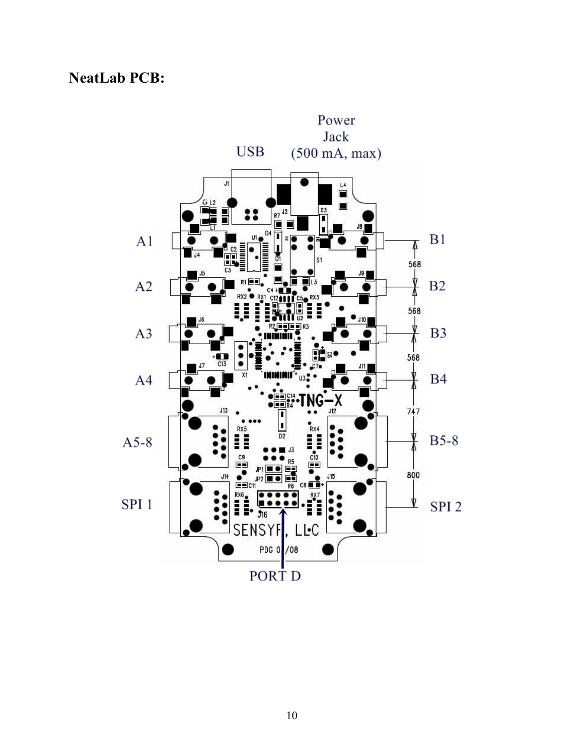### **NeatLab PCB:**